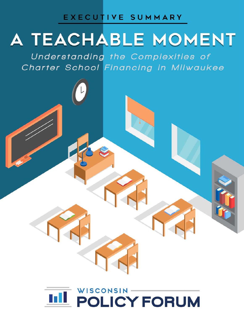### EXECUTIVE SUMMARY

# A TEACHABLE MOMENT

Understanding the Complexities of Charter School Financing in Milwaukee

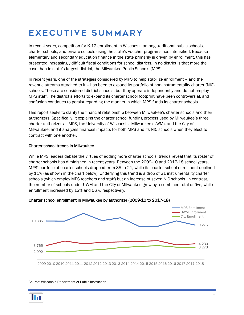## EXECUTIVE SUMMARY

In recent years, competition for K-12 enrollment in Wisconsin among traditional public schools, charter schools, and private schools using the state's voucher programs has intensified. Because elementary and secondary education finance in the state primarily is driven by enrollment, this has presented increasingly difficult fiscal conditions for school districts. In no district is that more the case than in state's largest district, the Milwaukee Public Schools (MPS).

In recent years, one of the strategies considered by MPS to help stabilize enrollment – and the revenue streams attached to it – has been to expand its portfolio of non-instrumentality charter (NIC) schools. These are considered district schools, but they operate independently and do not employ MPS staff. The district's efforts to expand its charter school footprint have been controversial, and confusion continues to persist regarding the manner in which MPS funds its charter schools.

This report seeks to clarify the financial relationship between Milwaukee's charter schools and their authorizers. Specifically, it explains the charter school funding process used by Milwaukee's three charter authorizers – MPS, the University of Wisconsin–Milwaukee (UWM), and the City of Milwaukee; and it analyzes financial impacts for both MPS and its NIC schools when they elect to contract with one another.

#### Charter school trends in Milwaukee

While MPS leaders debate the virtues of adding more charter schools, trends reveal that its roster of charter schools has diminished in recent years. Between the 2009-10 and 2017-18 school years, MPS' portfolio of charter schools dropped from 35 to 21, while its charter school enrollment declined by 11% (as shown in the chart below). Underlying this trend is a drop of 21 instrumentality charter schools (which employ MPS teachers and staff) but an increase of seven NIC schools. In contrast, the number of schools under UWM and the City of Milwaukee grew by a combined total of five, while enrollment increased by 12% and 56%, respectively.



#### Charter school enrollment in Milwaukee by authorizer (2009-10 to 2017-18)

#### Source: Wisconsin Department of Public Instruction

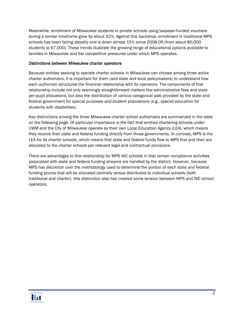Meanwhile, enrollment of Milwaukee students in private schools using taxpayer-funded vouchers during a similar timeframe grew by about 42%. Against this backdrop, enrollment in traditional MPS schools has been falling steadily and is down almost 15% since 2008-09 (from about 80,000 students to 67,000). These trends illustrate the growing range of educational options available to families in Milwaukee and the competitive pressures under which MPS operates.

#### Distinctions between Milwaukee charter operators

Because entities seeking to operate charter schools in Milwaukee can choose among three active charter authorizers, it is important for them (and state and local policymakers) to understand how each authorizer structures the financial relationship with its operators. The components of that relationship include not only seemingly straightforward matters like administrative fees and state per-pupil allocations, but also the distribution of various categorical aids provided by the state and federal government for special purposes and student populations (e.g., special education for students with disabilities).

Key distinctions among the three Milwaukee charter school authorizers are summarized in the table on the following page. Of particular importance is the fact that entities chartering schools under UWM and the City of Milwaukee operate as their own Local Education Agency (LEA), which means they receive their state and federal funding directly from those governments. In contrast, MPS is the LEA for its charter schools, which means that state and federal funds flow to MPS first and then are allocated to the charter schools per relevant legal and contractual provisions.

There are advantages to this relationship for MPS NIC schools in that certain compliance activities associated with state and federal funding streams are handled by the district. However, because MPS has discretion over the methodology used to determine the portion of each state and federal funding source that will be allocated centrally versus distributed to individual schools (both traditional and charter), this distinction also has created some tension between MPS and NIC school operators.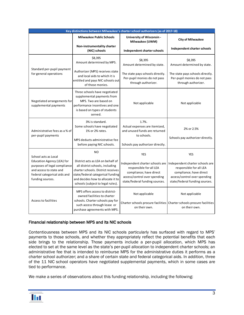| Key distinctions between Milwaukee's charter school authorizers (as of 2017-18)                                                                                   |                                                                                                                                                                                                                                             |                                                                                                                                                                       |                                                                                                                                                                       |  |  |  |
|-------------------------------------------------------------------------------------------------------------------------------------------------------------------|---------------------------------------------------------------------------------------------------------------------------------------------------------------------------------------------------------------------------------------------|-----------------------------------------------------------------------------------------------------------------------------------------------------------------------|-----------------------------------------------------------------------------------------------------------------------------------------------------------------------|--|--|--|
|                                                                                                                                                                   | <b>Milwaukee Public Schools</b>                                                                                                                                                                                                             | University of Wisconsin -<br>Milwaukee (UWM)                                                                                                                          | <b>City of Milwaukee</b>                                                                                                                                              |  |  |  |
|                                                                                                                                                                   | Non-instrumentality charter<br>(NIC) schools                                                                                                                                                                                                | Independent charter schools                                                                                                                                           | Independent charter schools                                                                                                                                           |  |  |  |
| Standard per-pupil payment<br>for general operations                                                                                                              | \$8,395<br>Amount determined by MPS.                                                                                                                                                                                                        | \$8.395<br>Amount determined by state.                                                                                                                                | \$8.395<br>Amount determined by state.                                                                                                                                |  |  |  |
|                                                                                                                                                                   | Authorizer (MPS) receives state<br>and local aids to which it is<br>entitled and pays NIC schools out<br>of those monies.                                                                                                                   | The state pays schools directly.<br>Per-pupil monies do not pass<br>through authorizer.                                                                               | The state pays schools directly.<br>Per-pupil monies do not pass<br>through authorizer.                                                                               |  |  |  |
| Negotiated arrangements for<br>supplemental payments                                                                                                              | Three schools have negotiated<br>supplemental payments from<br>MPS. Two are based on<br>performance incentives and one<br>is based on types of students<br>served.                                                                          | Not applicable                                                                                                                                                        | Not applicable                                                                                                                                                        |  |  |  |
| Administrative fees as a % of<br>per-pupil payments                                                                                                               | 3% is standard.<br>Some schools have negotiated<br>1% or 2% rates.<br>MPS deducts administrative fee<br>before paying NIC schools.                                                                                                          | 1.7%.<br>Actual expenses are itemized,<br>and unused funds are returned<br>to schools.<br>Schools pay authorizer directly.                                            | 2% or 2.5%<br>Schools pay authorizer directly.                                                                                                                        |  |  |  |
| School acts as Local<br>Education Agency (LEA) for<br>purposes of legal compliance<br>and access to state and<br>federal categorical aids and<br>funding sources. | N <sub>O</sub><br>District acts as LEA on behalf of<br>all district schools, including<br>charter schools. District receives<br>state/federal categorical funding<br>and decides how to allocate it to<br>schools (subject to legal rules). | <b>YES</b><br>Independent charter schools are<br>responsible for all LEA<br>compliance; have direct<br>access/control over spending<br>state/federal funding sources. | <b>YES</b><br>Independent charter schools are<br>responsible for all LEA<br>compliance; have direct<br>access/control over spending<br>state/federal funding sources. |  |  |  |
| Access to facilities                                                                                                                                              | MPS offers access to district-<br>owned facilities to charter<br>schools. Charter schools pay for<br>such access through lease or<br>purchase agreements with MPS.                                                                          | Not applicable<br>on their own.                                                                                                                                       | Not applicable<br>Charter schools procure facilities Charter schools procure facilities<br>on their own.                                                              |  |  |  |

#### Financial relationship between MPS and its NIC schools

Contentiousness between MPS and its NIC schools particularly has surfaced with regard to MPS' payments to those schools, and whether they appropriately reflect the potential benefits that each side brings to the relationship. Those payments include a per-pupil allocation, which MPS has elected to set at the same level as the state's per-pupil allocation to independent charter schools; an administrative fee that is intended to reimburse MPS for the administrative duties it performs as a charter school authorizer; and a share of certain state and federal categorical aids. In addition, three of the 11 NIC school operators have negotiated supplemental payments, which in some cases are tied to performance.

We make a series of observations about this funding relationship, including the following:

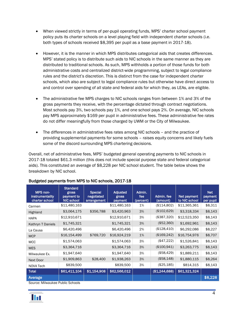- When viewed strictly in terms of per-pupil operating funds, MPS' charter school payment policy puts its charter schools on a level playing field with independent charter schools (i.e. both types of schools received \$8,395 per pupil as a base payment in 2017-18).
- However, it is the manner in which MPS distributes categorical aids that creates differences. MPS' stated policy is to distribute such aids to NIC schools in the same manner as they are distributed to traditional schools. As such, MPS withholds a portion of those funds for both administrative costs and centralized district-wide programming, subject to legal compliance rules and the district's discretion. This is distinct from the case for independent charter schools, which also are subject to legal compliance rules but otherwise have direct access to and control over spending of all state and federal aids for which they, as LEAs, are eligible.
- The administrative fee MPS charges to NIC schools ranges from between 1% and 3% of the gross payments they receive, with the percentage dictated through contract negotiations. Most schools pay 3%, two schools pay 1%, and one school pays 2%. On average, NIC schools pay MPS approximately \$169 per pupil in administrative fees. These administrative fee rates do not differ meaningfully from those charged by UWM or the City of Milwaukee.
- The differences in administrative fees rates among NIC schools and the practice of providing supplemental payments for some schools – raises equity concerns and likely fuels some of the discord surrounding MPS chartering decisions.

Overall, net of administrative fees, MPS' budgeted general operating payments to NIC schools in 2017-18 totaled \$61.3 million (this does not include special purpose state and federal categorical aids). This constituted an average of \$8,228 per NIC school student. The table below shows the breakdown by NIC school.

| MPS non-<br>instrumentality<br>charter school | <b>Standard</b><br>gross<br>payment to<br><b>NIC school</b> | <b>Special</b><br>negotiated<br>arrangement | <b>Adjusted</b><br>gross<br>payment | Admin.<br>fee<br>(percent) | Admin, fee<br>(amount) | Net payment<br>to NIC school | <b>Net</b><br>payment<br>per pupil |
|-----------------------------------------------|-------------------------------------------------------------|---------------------------------------------|-------------------------------------|----------------------------|------------------------|------------------------------|------------------------------------|
| Carmen                                        | \$11,480,163                                                |                                             | \$11,480,163                        | 1%                         | (\$114,802)            | \$11,365,361                 | \$8,311                            |
| <b>Highland</b>                               | \$3,064,175                                                 | \$356,788                                   | \$3,420,963                         | 3%                         | (\$102,629)            | \$3,318,334                  | \$8,143                            |
| <b>HAPA</b>                                   | \$12,910,671                                                |                                             | \$12,910,671                        | 3%                         | (\$387,320)            | \$12,523,350                 | \$8,143                            |
| Kathryn T Daniels                             | \$1,745,321                                                 |                                             | \$1,745,321                         | 3%                         | (\$52,360)             | \$1,692,961                  | \$8,143                            |
| La Causa                                      | \$6,420,496                                                 |                                             | \$6,420,496                         | 2%                         | (\$128,410)            | \$6,292,086                  | \$8,227                            |
| <b>MCP</b>                                    | \$16,154,499                                                | \$769,720                                   | \$16,924,219                        | 1%                         | (\$169,242)            | \$16,754,976                 | \$8,707                            |
| <b>MCC</b>                                    | \$1,574,063                                                 |                                             | \$1,574,063                         | 3%                         | (\$47,222)             | \$1,526,841                  | \$8,143                            |
| <b>MES</b>                                    | \$3,364,716                                                 |                                             | \$3,364,716                         | 3%                         | (\$100,941)            | \$3,263,775                  | \$8,143                            |
| Milwaukee Ex.                                 | \$1,947,640                                                 |                                             | \$1,947,640                         | 3%                         | (\$58,429)             | \$1,889,211                  | \$8,143                            |
| <b>Next Door</b>                              | \$1,909,863                                                 | \$28,400                                    | \$1,938,263                         | 3%                         | (\$58,148)             | \$1,880,115                  | \$8,264                            |
| NOVA Tech                                     | \$839,500                                                   |                                             | \$839,500                           | 3%                         | (\$25,185)             | \$814,315                    | \$8,143                            |
| <b>Total</b>                                  | \$61,411,104                                                | \$1,154,908                                 | \$62,566,012                        |                            | (\$1,244,688)          | \$61,321,324                 |                                    |
| Average                                       | .                                                           |                                             |                                     |                            |                        |                              | \$8,228                            |

#### Budgeted payments from MPS to NIC schools, 2017-18

Source: Milwaukee Public Schools

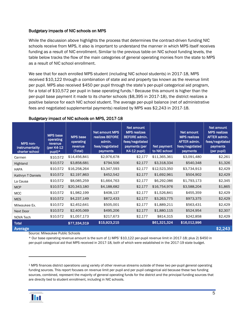#### Budgetary impacts of NIC schools on MPS

While the discussion above highlights the process that determines the contract-driven funding NIC schools receive from MPS, it also is important to understand the manner in which MPS itself receives funding as a result of NIC enrollment. Similar to the previous table on NIC school funding levels, the table below tracks the flow of the main categories of general operating monies from the state to MPS as a result of NIC school enrollment.

We see that for each enrolled MPS student (including NIC school students) in 2017-18, MPS received \$10,122 through a combination of state aid and property tax known as the revenue limit per pupil. MPS also received \$450 per pupil through the state's per-pupil categorical aid program, for a total of \$[1](#page-5-0)0,572 per pupil in base operating funds.<sup>1</sup> Because this amount is higher than the per-pupil base payment it made to its charter schools (\$8,395 in 2017-18), the district realizes a positive balance for each NIC school student. The average per-pupil balance (net of administrative fees and negotiated supplemental payments) realized by MPS was \$2,243 in 2017-18.

| MPS non-<br>instrumentality<br>charter school | <b>MPS</b> base<br>operating<br>revenue<br>(per K4-12<br>pupil)* | <b>MPS</b> base<br>operating<br>revenue<br>(Total) | Net amount MPS<br>realizes BEFORE<br>admin.<br>fees/negotiated<br>payments | Net amount<br><b>MPS</b> realizes<br><b>BEFORE</b> admin.<br>fees/negotiated<br>payments (per<br><b>K4-12 pupil)</b> | Net payment<br>to NIC school | Net amount<br><b>MPS</b> realizes<br>AFTER admin.<br>fees/negotiated<br>payments | Net amount<br><b>MPS</b> realizes<br><b>AFTER admin.</b><br>fees/negotiated<br>payments<br>(per pupil) |
|-----------------------------------------------|------------------------------------------------------------------|----------------------------------------------------|----------------------------------------------------------------------------|----------------------------------------------------------------------------------------------------------------------|------------------------------|----------------------------------------------------------------------------------|--------------------------------------------------------------------------------------------------------|
| Carmen                                        | \$10,572                                                         | \$14,456,841                                       | \$2,976,678                                                                | \$2,177                                                                                                              | \$11,365,361                 | \$3,091,480                                                                      | \$2,261                                                                                                |
| Highland                                      | \$10,572                                                         | \$3,858,681                                        | \$794,506                                                                  | \$2,177                                                                                                              | \$3,318,334                  | \$540,348                                                                        | \$1,326                                                                                                |
| <b>HAPA</b>                                   | \$10,572                                                         | \$16,258,264                                       | \$3,347,593                                                                | \$2,177                                                                                                              | \$12,523,350                 | \$3,734,913                                                                      | \$2,429                                                                                                |
| Kathryn T Daniels                             | \$10,572                                                         | \$2,197,863                                        | \$452,542                                                                  | \$2,177                                                                                                              | \$1,692,961                  | \$504,902                                                                        | \$2,429                                                                                                |
| La Causa                                      | \$10,572                                                         | \$8,085,259                                        | \$1,664,763                                                                | \$2,177                                                                                                              | \$6,292,086                  | \$1,793,173                                                                      | \$2,345                                                                                                |
| <b>MCP</b>                                    | \$10,572                                                         | \$20,343,180                                       | \$4,188,682                                                                | \$2,177                                                                                                              | \$16,754,976                 | \$3,588,204                                                                      | \$1,865                                                                                                |
| <b>MCC</b>                                    | \$10,572                                                         | \$1,982,199                                        | \$408,137                                                                  | \$2,177                                                                                                              | \$1,526,841                  | \$455,359                                                                        | \$2,429                                                                                                |
| <b>MES</b>                                    | \$10,572                                                         | \$4,237,149                                        | \$872,433                                                                  | \$2,177                                                                                                              | \$3,263,775                  | \$973,375                                                                        | \$2,429                                                                                                |
| Milwaukee Ex.                                 | \$10,572                                                         | \$2,452,641                                        | \$505,001                                                                  | \$2,177                                                                                                              | \$1,889,211                  | \$563,431                                                                        | \$2,429                                                                                                |
| <b>Next Door</b>                              | \$10,572                                                         | \$2,405,069                                        | \$495,206                                                                  | \$2,177                                                                                                              | \$1,880,115                  | \$524,954                                                                        | \$2,307                                                                                                |
| NOVA Tech                                     | \$10,572                                                         | \$1,057,173                                        | \$217,673                                                                  | \$2,177                                                                                                              | \$814,315                    | \$242,858                                                                        | \$2,429                                                                                                |
| <b>Total</b>                                  |                                                                  | \$77,334,319                                       | \$15,923,215                                                               |                                                                                                                      | \$61,321,324                 | \$16,012,996                                                                     |                                                                                                        |
| Average                                       |                                                                  |                                                    |                                                                            |                                                                                                                      |                              |                                                                                  | \$2,243                                                                                                |

#### Budgetary impact of NIC schools on MPS, 2017-18

Source: Milwaukee Public Schools

\* Our base operating revenue amount is the sum of 1) MPS' \$10,122 per-pupil revenue limit in 2017-18; plus 2) \$450 in per-pupil categorical aid that MPS received in 2017-18, both of which were established in the 2017-19 state budget.

<span id="page-5-0"></span><sup>1</sup> MPS finances district operations using variety of other revenue streams outside of these two per-pupil general operating funding sources. This report focuses on revenue limit per pupil and per pupil categorical aid because these two funding sources, combined, represent the majority of general operating funds for the district and the principal funding sources that are directly tied to student enrollment, including in NIC schools.



1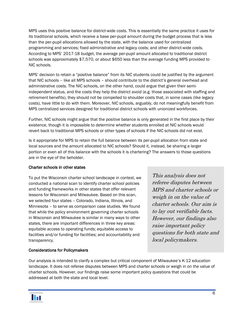MPS uses this positive balance for district-wide costs. This is essentially the same practice it uses for its traditional schools, which receive a base per-pupil amount during the budget process that is less than the per-pupil allocations allowed by the state, with the balance used for centralized programming and services; fixed administrative and legacy costs; and other district-wide costs. According to MPS' 2017-18 budget, the average per-pupil amount allocated to traditional district schools was approximately \$7,570, or about \$650 less than the average funding MPS provided to NIC schools.

MPS' decision to retain a "positive balance" from its NIC students could be justified by the argument that NIC schools – like all MPS schools – should contribute to the district's general overhead and administrative costs. The NIC schools, on the other hand, could argue that given their semiindependent status, and the costs they help the district avoid (e.g. those associated with staffing and retirement benefits), they should not be compelled to shoulder costs that, in some cases (like legacy costs), have little to do with them. Moreover, NIC schools, arguably, do not meaningfully benefit from MPS centralized services designed for traditional district schools with unionized workforces.

Further, NIC schools might argue that the positive balance is only generated in the first place by their existence, though it is impossible to determine whether students enrolled at NIC schools would revert back to traditional MPS schools or other types of schools if the NIC schools did not exist.

Is it appropriate for MPS to retain the full balance between its per-pupil allocation from state and local sources and the amount allocated to NIC schools? Should it, instead, be sharing a larger portion or even all of this balance with the schools it is chartering? The answers to those questions are in the eye of the beholder.

#### Charter schools in other states

To put the Wisconsin charter school landscape in context, we conducted a national scan to identify charter school policies and funding frameworks in other states that offer relevant lessons for Wisconsin and Milwaukee. Based on this scan, we selected four states – Colorado, Indiana, Illinois, and Minnesota – to serve as comparison case studies. We found that while the policy environment governing charter schools in Wisconsin and Milwaukee is similar in many ways to other states, there are important differences in three key areas: equitable access to operating funds; equitable access to facilities and/or funding for facilities; and accountability and transparency.

This analysis does not referee disputes between MPS and charter schools or weigh in on the value of charter schools. Our aim is to lay out verifiable facts. However, our findings also raise important policy questions for both state and local policymakers.

#### Considerations for Policymakers

Our analysis is intended to clarify a complex but critical component of Milwaukee's K-12 education landscape. It does not referee disputes between MPS and charter schools or weigh in on the value of charter schools. However, our findings raise some important policy questions that could be addressed at both the state and local level.

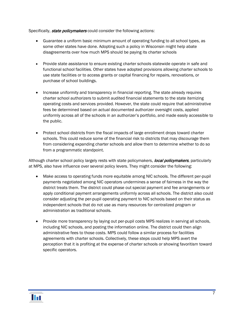Specifically, state policymakers could consider the following actions:

- Guarantee a uniform basic minimum amount of operating funding to all school types, as some other states have done. Adopting such a policy in Wisconsin might help abate disagreements over how much MPS should be paying its charter schools
- Provide state assistance to ensure existing charter schools statewide operate in safe and functional school facilities. Other states have adopted provisions allowing charter schools to use state facilities or to access grants or capital financing for repairs, renovations, or purchase of school buildings.
- Increase uniformity and transparency in financial reporting. The state already requires charter school authorizers to submit audited financial statements to the state itemizing operating costs and services provided. However, the state could require that administrative fees be determined based on actual documented authorizer oversight costs, applied uniformly across all of the schools in an authorizer's portfolio, and made easily accessible to the public.
- Protect school districts from the fiscal impacts of large enrollment drops toward charter schools. This could reduce some of the financial risk to districts that may discourage them from considering expanding charter schools and allow them to determine whether to do so from a programmatic standpoint.

Although charter school policy largely rests with state policymakers, *local policymakers*, particularly at MPS, also have influence over several policy levers. They might consider the following:

- Make access to operating funds more equitable among NIC schools. The different per-pupil payments negotiated among NIC operators undermines a sense of fairness in the way the district treats them. The district could phase out special payment and fee arrangements or apply conditional payment arrangements uniformly across all schools. The district also could consider adjusting the per-pupil operating payment to NIC schools based on their status as independent schools that do not use as many resources for centralized program or administration as traditional schools.
- Provide more transparency by laying out per-pupil costs MPS realizes in serving all schools, including NIC schools, and posting the information online. The district could then align administrative fees to those costs. MPS could follow a similar process for facilities agreements with charter schools. Collectively, these steps could help MPS avert the perception that it is profiting at the expense of charter schools or showing favoritism toward specific operators.